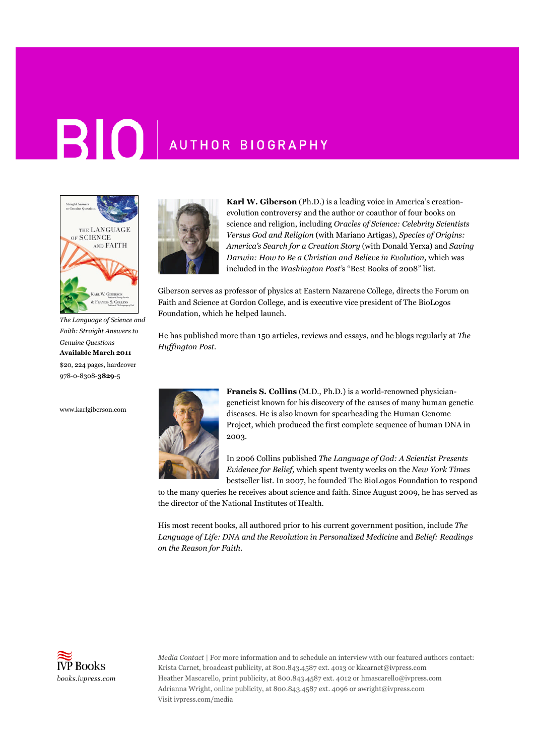## **BIO** AUTHOR BIOGRAPHY



*The Language of Science and Faith: Straight Answers to Genuine Questions* **Available March 2011** \$20, 224 pages, hardcover 978-0-8308-**3829**-5

www.karlgiberson.com



**Karl W. Giberson** (Ph.D.) is a leading voice in America's creationevolution controversy and the author or coauthor of four books on science and religion, including *Oracles of Science: Celebrity Scientists Versus God and Religion* (with Mariano Artigas), *Species of Origins: America's Search for a Creation Story* (with Donald Yerxa) and *Saving Darwin: How to Be a Christian and Believe in Evolution,* which was included in the *Washington Post'*s "Best Books of 2008" list.

Giberson serves as professor of physics at Eastern Nazarene College, directs the Forum on Faith and Science at Gordon College, and is executive vice president of The BioLogos Foundation, which he helped launch.

He has published more than 150 articles, reviews and essays, and he blogs regularly at *The Huffington Post.*



**Francis S. Collins** (M.D., Ph.D.) is a world-renowned physiciangeneticist known for his discovery of the causes of many human genetic diseases. He is also known for spearheading the Human Genome Project, which produced the first complete sequence of human DNA in 2003.

In 2006 Collins published *The Language of God: A Scientist Presents Evidence for Belief,* which spent twenty weeks on the *New York Times* bestseller list. In 2007, he founded The BioLogos Foundation to respond

to the many queries he receives about science and faith. Since August 2009, he has served as the director of the National Institutes of Health.

His most recent books, all authored prior to his current government position, include *The Language of Life: DNA and the Revolution in Personalized Medicine* and *Belief: Readings on the Reason for Faith*.



*Media Contact* | For more information and to schedule an interview with our featured authors contact: Krista Carnet, broadcast publicity, at 800.843.4587 ext. 4013 or kkcarnet@ivpress.com Heather Mascarello, print publicity, at 800.843.4587 ext. 4012 or hmascarello@ivpress.com Adrianna Wright, online publicity, at 800.843.4587 ext. 4096 or awright@ivpress.com Visit ivpress.com/media